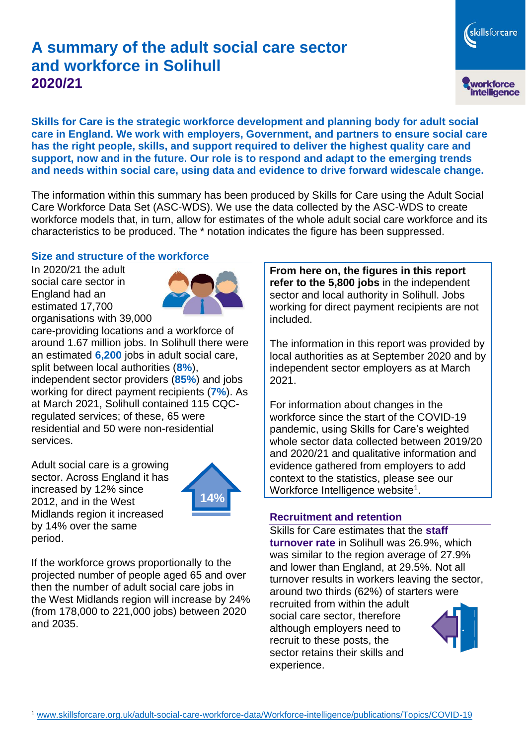# **A summary of the adult social care sector and workforce in Solihull 2020/21**

workforce<br>intelligence

skillsforcare

**Skills for Care is the strategic workforce development and planning body for adult social care in England. We work with employers, Government, and partners to ensure social care has the right people, skills, and support required to deliver the highest quality care and support, now and in the future. Our role is to respond and adapt to the emerging trends and needs within social care, using data and evidence to drive forward widescale change.**

The information within this summary has been produced by Skills for Care using the Adult Social Care Workforce Data Set (ASC-WDS). We use the data collected by the ASC-WDS to create workforce models that, in turn, allow for estimates of the whole adult social care workforce and its characteristics to be produced. The \* notation indicates the figure has been suppressed.

#### **Size and structure of the workforce**

In 2020/21 the adult social care sector in England had an estimated 17,700 organisations with 39,000



care-providing locations and a workforce of around 1.67 million jobs. In Solihull there were an estimated **6,200** jobs in adult social care, split between local authorities (**8%**), independent sector providers (**85%**) and jobs working for direct payment recipients (**7%**). As at March 2021, Solihull contained 115 CQCregulated services; of these, 65 were residential and 50 were non-residential services.

Adult social care is a growing sector. Across England it has increased by 12% since 2012, and in the West Midlands region it increased by 14% over the same period.



If the workforce grows proportionally to the projected number of people aged 65 and over then the number of adult social care jobs in the West Midlands region will increase by 24% (from 178,000 to 221,000 jobs) between 2020 and 2035.

**From here on, the figures in this report refer to the 5,800 jobs** in the independent sector and local authority in Solihull. Jobs working for direct payment recipients are not included.

The information in this report was provided by local authorities as at September 2020 and by independent sector employers as at March 2021.

For information about changes in the workforce since the start of the COVID-19 pandemic, using Skills for Care's weighted whole sector data collected between 2019/20 and 2020/21 and qualitative information and evidence gathered from employers to add context to the statistics, please see our Workforce Intelligence website<sup>1</sup>.

#### **Recruitment and retention**

Skills for Care estimates that the **staff turnover rate** in Solihull was 26.9%, which was similar to the region average of 27.9% and lower than England, at 29.5%. Not all turnover results in workers leaving the sector, around two thirds (62%) of starters were recruited from within the adult social care sector, therefore although employers need to recruit to these posts, the sector retains their skills and experience.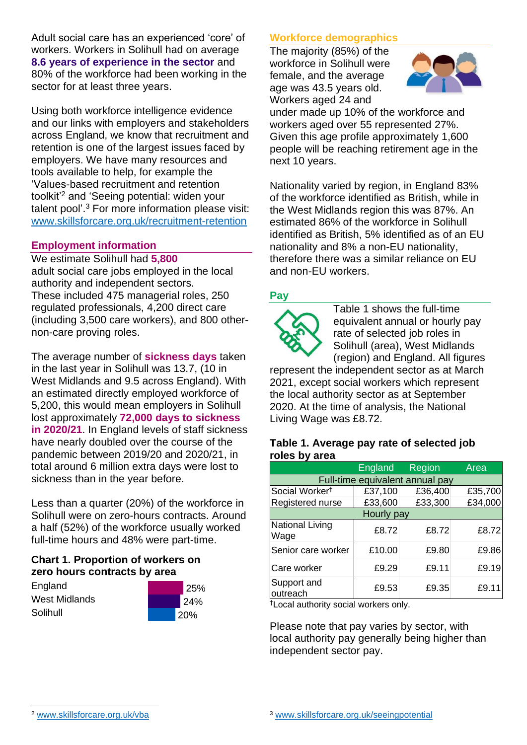Adult social care has an experienced 'core' of workers. Workers in Solihull had on average **8.6 years of experience in the sector** and 80% of the workforce had been working in the sector for at least three years.

Using both workforce intelligence evidence and our links with employers and stakeholders across England, we know that recruitment and retention is one of the largest issues faced by employers. We have many resources and tools available to help, for example the 'Values-based recruitment and retention toolkit'<sup>2</sup> and 'Seeing potential: widen your talent pool'. <sup>3</sup> For more information please visit: [www.skillsforcare.org.uk/recruitment-retention](http://www.skillsforcare.org.uk/recruitment-retention)

#### **Employment information**

We estimate Solihull had **5,800** adult social care jobs employed in the local authority and independent sectors. These included 475 managerial roles, 250 regulated professionals, 4,200 direct care (including 3,500 care workers), and 800 othernon-care proving roles.

The average number of **sickness days** taken in the last year in Solihull was 13.7, (10 in West Midlands and 9.5 across England). With an estimated directly employed workforce of 5,200, this would mean employers in Solihull lost approximately **72,000 days to sickness in 2020/21**. In England levels of staff sickness have nearly doubled over the course of the pandemic between 2019/20 and 2020/21, in total around 6 million extra days were lost to sickness than in the year before.

Less than a quarter (20%) of the workforce in Solihull were on zero-hours contracts. Around a half (52%) of the workforce usually worked full-time hours and 48% were part-time.

### **Chart 1. Proportion of workers on zero hours contracts by area**

**England** West Midlands Solihull



### **Workforce demographics**

The majority (85%) of the workforce in Solihull were female, and the average age was 43.5 years old. Workers aged 24 and



under made up 10% of the workforce and workers aged over 55 represented 27%. Given this age profile approximately 1,600 people will be reaching retirement age in the next 10 years.

Nationality varied by region, in England 83% of the workforce identified as British, while in the West Midlands region this was 87%. An estimated 86% of the workforce in Solihull identified as British, 5% identified as of an EU nationality and 8% a non-EU nationality, therefore there was a similar reliance on EU and non-EU workers.

### **Pay**



Table 1 shows the full-time equivalent annual or hourly pay rate of selected job roles in Solihull (area), West Midlands (region) and England. All figures

represent the independent sector as at March 2021, except social workers which represent the local authority sector as at September 2020. At the time of analysis, the National Living Wage was £8.72.

#### **Table 1. Average pay rate of selected job roles by area**

|                                 | <b>England</b> | <b>Region</b> | Area    |
|---------------------------------|----------------|---------------|---------|
| Full-time equivalent annual pay |                |               |         |
| Social Worker <sup>t</sup>      | £37,100        | £36,400       | £35,700 |
| Registered nurse                | £33,600        | £33,300       | £34,000 |
| Hourly pay                      |                |               |         |
| National Living<br>Wage         | £8.72          | £8.72         | £8.72   |
| Senior care worker              | £10.00         | £9.80         | £9.86   |
| Care worker                     | £9.29          | £9.11         | £9.19   |
| Support and<br>outreach         | £9.53          | £9.35         | £9.11   |

†Local authority social workers only.

Please note that pay varies by sector, with local authority pay generally being higher than independent sector pay.

[www.skillsforcare.org.uk/vba](http://www.skillsforcare.org.uk/vba)